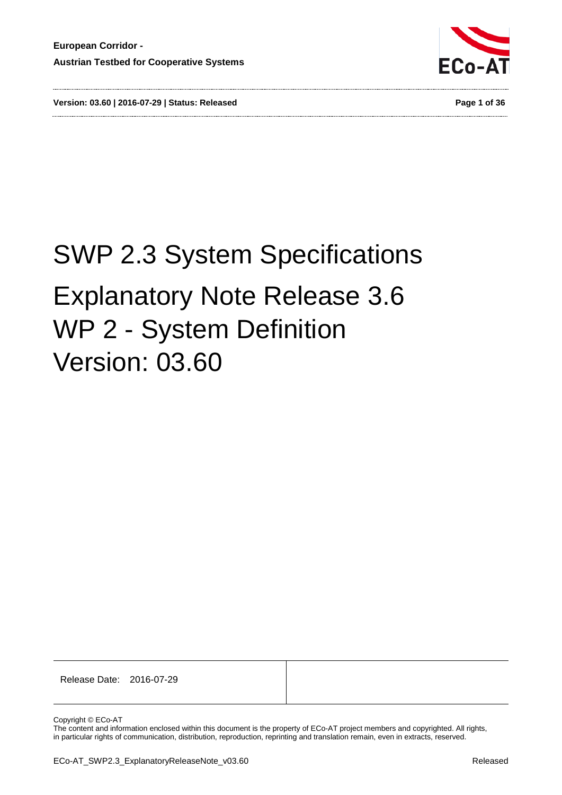



# SWP 2.3 System Specifications Explanatory Note Release 3.6 WP 2 - System Definition Version: 03.60

Release Date: 2016-07-29

Copyright © ECo-AT

The content and information enclosed within this document is the property of ECo-AT project members and copyrighted. All rights, in particular rights of communication, distribution, reproduction, reprinting and translation remain, even in extracts, reserved.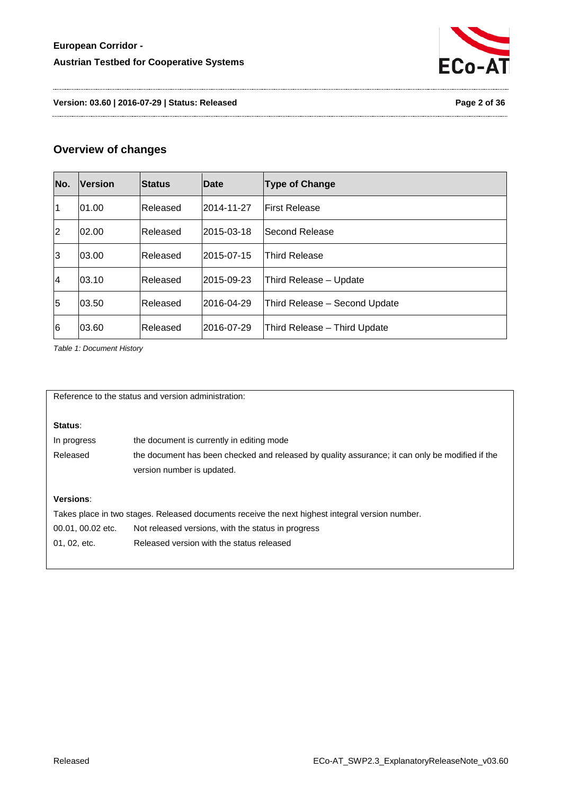

**Version: 03.60 | 2016-07-29 | Status: Released Page 2 of 36**

# **Overview of changes**

| No.            | <b>Version</b> | <b>Status</b> | Date                                | <b>Type of Change</b>         |  |  |  |
|----------------|----------------|---------------|-------------------------------------|-------------------------------|--|--|--|
| $\overline{1}$ | 01.00          | Released      | 2014-11-27                          | <b>First Release</b>          |  |  |  |
| 2              | 02.00          | Released      | 2015-03-18                          | <b>Second Release</b>         |  |  |  |
| 3              | 03.00          | Released      | l2015-07-15<br><b>Third Release</b> |                               |  |  |  |
| $\overline{4}$ | 03.10          | Released      | l2015-09-23                         | Third Release - Update        |  |  |  |
| 5              | 03.50          | Released      | 2016-04-29                          | Third Release - Second Update |  |  |  |
| l6             | 03.60          | Released      | l2016-07-29                         | Third Release - Third Update  |  |  |  |

<span id="page-1-0"></span>*Table 1: Document History*

Reference to the status and version administration:

# **Status**:

| In progress | the document is currently in editing mode                                                       |
|-------------|-------------------------------------------------------------------------------------------------|
| Released    | the document has been checked and released by quality assurance; it can only be modified if the |
|             | version number is updated.                                                                      |

### **Versions**:

Takes place in two stages. Released documents receive the next highest integral version number. 00.01, 00.02 etc. Not released versions, with the status in progress 01, 02, etc. Released version with the status released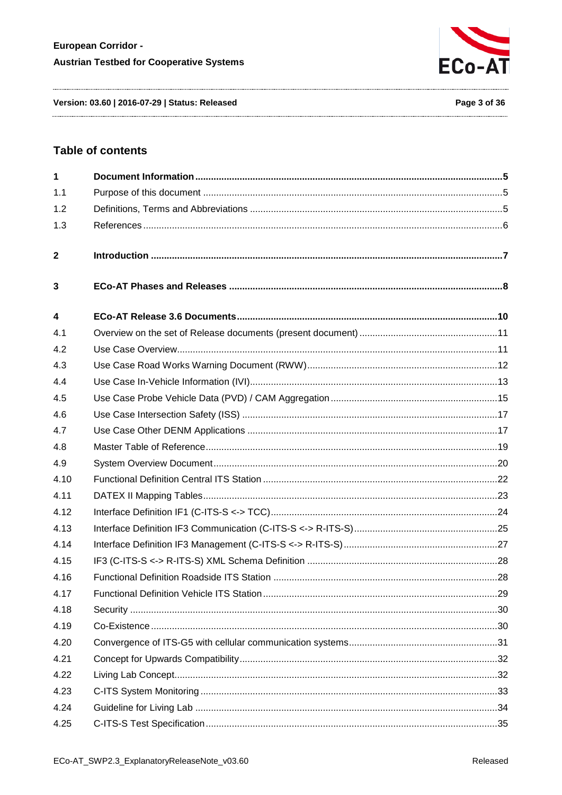

Version: 03.60 | 2016-07-29 | Status: Released

# **Table of contents**

| $\mathbf{1}$            |  |
|-------------------------|--|
| 1.1                     |  |
| 1.2                     |  |
| 1.3                     |  |
| $\mathbf{2}$            |  |
| 3                       |  |
| $\overline{\mathbf{4}}$ |  |
| 4.1                     |  |
| 4.2                     |  |
| 4.3                     |  |
| 4.4                     |  |
| 4.5                     |  |
| 4.6                     |  |
| 4.7                     |  |
| 4.8                     |  |
| 4.9                     |  |
| 4.10                    |  |
| 4.11                    |  |
| 4.12                    |  |
| 4.13                    |  |
| 4.14                    |  |
| 4.15                    |  |
| 4.16                    |  |
| 4.17                    |  |
| 4.18                    |  |
| 4.19                    |  |
| 4.20                    |  |
| 4.21                    |  |
| 4.22                    |  |
| 4.23                    |  |
| 4.24                    |  |
| 4.25                    |  |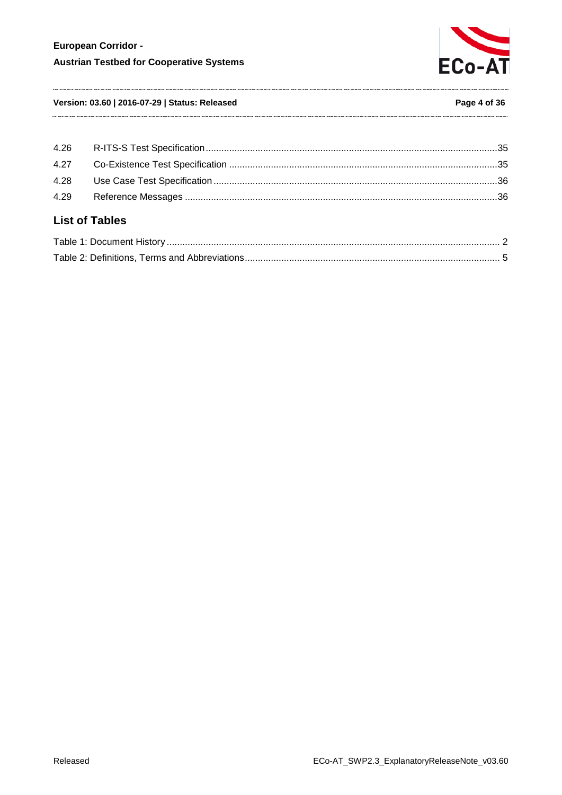

### **Version: 03.60 | 2016-07-29 | Status: Released Page 4 of 36**

| <b>List of Tables</b> |  |
|-----------------------|--|
| 4.29                  |  |
|                       |  |
|                       |  |
|                       |  |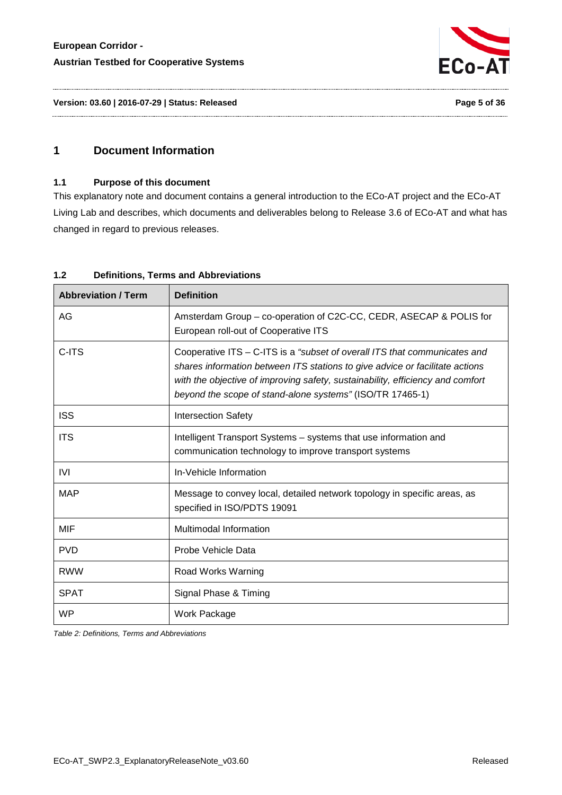

# <span id="page-4-1"></span><span id="page-4-0"></span>**1 Document Information**

# **1.1 Purpose of this document**

This explanatory note and document contains a general introduction to the ECo-AT project and the ECo-AT Living Lab and describes, which documents and deliverables belong to Release 3.6 of ECo-AT and what has changed in regard to previous releases.

| <b>Abbreviation / Term</b> | <b>Definition</b>                                                                                                                                                                                                                                                                                        |
|----------------------------|----------------------------------------------------------------------------------------------------------------------------------------------------------------------------------------------------------------------------------------------------------------------------------------------------------|
| AG                         | Amsterdam Group – co-operation of C2C-CC, CEDR, ASECAP & POLIS for<br>European roll-out of Cooperative ITS                                                                                                                                                                                               |
| C-ITS                      | Cooperative ITS - C-ITS is a "subset of overall ITS that communicates and<br>shares information between ITS stations to give advice or facilitate actions<br>with the objective of improving safety, sustainability, efficiency and comfort<br>beyond the scope of stand-alone systems" (ISO/TR 17465-1) |
| <b>ISS</b>                 | <b>Intersection Safety</b>                                                                                                                                                                                                                                                                               |
| <b>ITS</b>                 | Intelligent Transport Systems - systems that use information and<br>communication technology to improve transport systems                                                                                                                                                                                |
| <b>IVI</b>                 | In-Vehicle Information                                                                                                                                                                                                                                                                                   |
| <b>MAP</b>                 | Message to convey local, detailed network topology in specific areas, as<br>specified in ISO/PDTS 19091                                                                                                                                                                                                  |
| MIF                        | <b>Multimodal Information</b>                                                                                                                                                                                                                                                                            |
| <b>PVD</b>                 | Probe Vehicle Data                                                                                                                                                                                                                                                                                       |
| <b>RWW</b>                 | Road Works Warning                                                                                                                                                                                                                                                                                       |
| <b>SPAT</b>                | Signal Phase & Timing                                                                                                                                                                                                                                                                                    |
| <b>WP</b>                  | Work Package                                                                                                                                                                                                                                                                                             |

### <span id="page-4-2"></span>**1.2 Definitions, Terms and Abbreviations**

<span id="page-4-3"></span>*Table 2: Definitions, Terms and Abbreviations*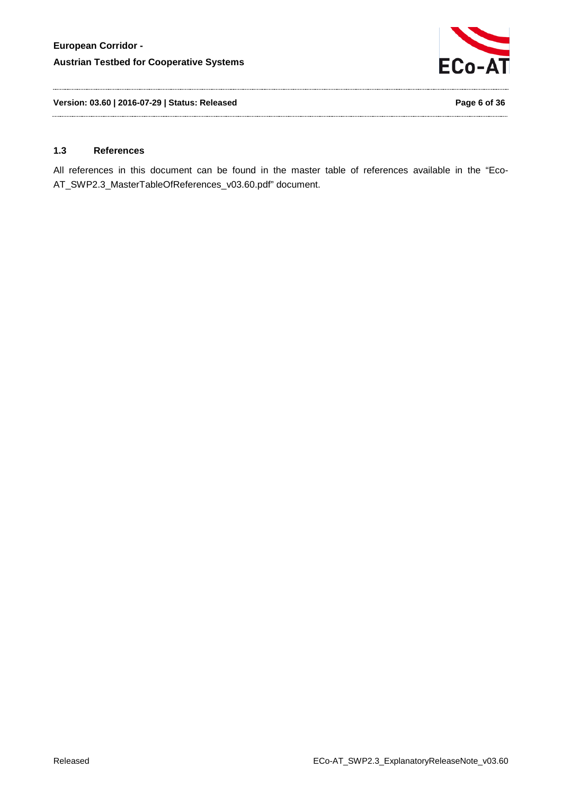

**Version: 03.60 | 2016-07-29 | Status: Released Page 6 of 36**

#### <span id="page-5-0"></span>**1.3 References**

All references in this document can be found in the master table of references available in the "Eco-AT\_SWP2.3\_MasterTableOfReferences\_v03.60.pdf" document.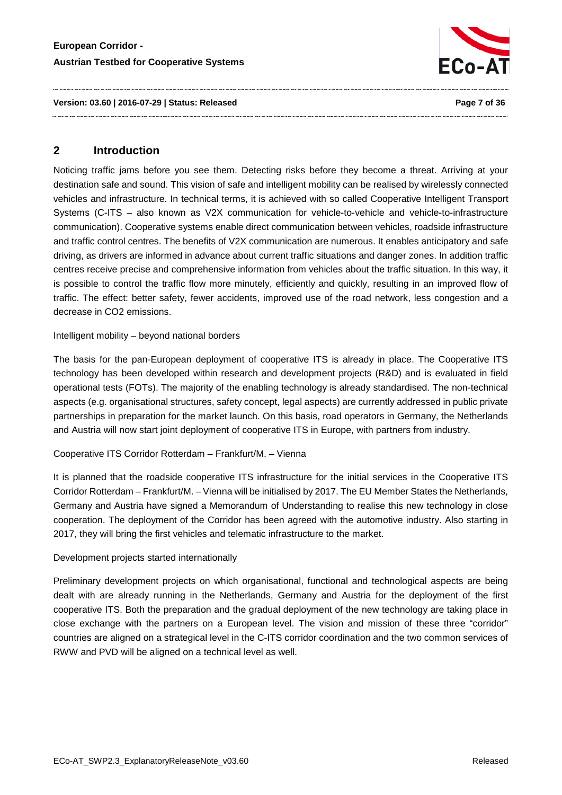

#### **Version: 03.60 | 2016-07-29 | Status: Released Page 7 of 36**

# <span id="page-6-0"></span>**2 Introduction**

Noticing traffic jams before you see them. Detecting risks before they become a threat. Arriving at your destination safe and sound. This vision of safe and intelligent mobility can be realised by wirelessly connected vehicles and infrastructure. In technical terms, it is achieved with so called Cooperative Intelligent Transport Systems (C-ITS – also known as V2X communication for vehicle-to-vehicle and vehicle-to-infrastructure communication). Cooperative systems enable direct communication between vehicles, roadside infrastructure and traffic control centres. The benefits of V2X communication are numerous. It enables anticipatory and safe driving, as drivers are informed in advance about current traffic situations and danger zones. In addition traffic centres receive precise and comprehensive information from vehicles about the traffic situation. In this way, it is possible to control the traffic flow more minutely, efficiently and quickly, resulting in an improved flow of traffic. The effect: better safety, fewer accidents, improved use of the road network, less congestion and a decrease in CO2 emissions.

### Intelligent mobility – beyond national borders

The basis for the pan-European deployment of cooperative ITS is already in place. The Cooperative ITS technology has been developed within research and development projects (R&D) and is evaluated in field operational tests (FOTs). The majority of the enabling technology is already standardised. The non-technical aspects (e.g. organisational structures, safety concept, legal aspects) are currently addressed in public private partnerships in preparation for the market launch. On this basis, road operators in Germany, the Netherlands and Austria will now start joint deployment of cooperative ITS in Europe, with partners from industry.

# Cooperative ITS Corridor Rotterdam – Frankfurt/M. – Vienna

It is planned that the roadside cooperative ITS infrastructure for the initial services in the Cooperative ITS Corridor Rotterdam – Frankfurt/M. – Vienna will be initialised by 2017. The EU Member States the Netherlands, Germany and Austria have signed a Memorandum of Understanding to realise this new technology in close cooperation. The deployment of the Corridor has been agreed with the automotive industry. Also starting in 2017, they will bring the first vehicles and telematic infrastructure to the market.

#### Development projects started internationally

Preliminary development projects on which organisational, functional and technological aspects are being dealt with are already running in the Netherlands, Germany and Austria for the deployment of the first cooperative ITS. Both the preparation and the gradual deployment of the new technology are taking place in close exchange with the partners on a European level. The vision and mission of these three "corridor" countries are aligned on a strategical level in the C-ITS corridor coordination and the two common services of RWW and PVD will be aligned on a technical level as well.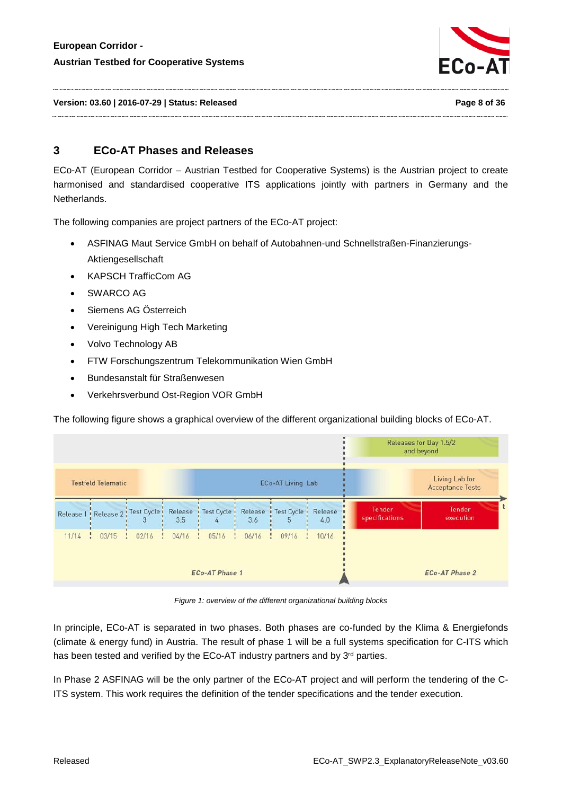

**Version: 03.60 | 2016-07-29 | Status: Released Page 8 of 36**

# <span id="page-7-0"></span>**3 ECo-AT Phases and Releases**

ECo-AT (European Corridor – Austrian Testbed for Cooperative Systems) is the Austrian project to create harmonised and standardised cooperative ITS applications jointly with partners in Germany and the Netherlands.

The following companies are project partners of the ECo-AT project:

- ASFINAG Maut Service GmbH on behalf of Autobahnen-und Schnellstraßen-Finanzierungs-Aktiengesellschaft
- KAPSCH TrafficCom AG
- SWARCO AG
- Siemens AG Österreich
- Vereinigung High Tech Marketing
- Volvo Technology AB
- FTW Forschungszentrum Telekommunikation Wien GmbH
- Bundesanstalt für Straßenwesen
- Verkehrsverbund Ost-Region VOR GmbH

The following figure shows a graphical overview of the different organizational building blocks of ECo-AT.

|                                      |               |           |           |                                           |           |                                           | Releases for Day 1.5/2<br>and beyond |                          |                                           |
|--------------------------------------|---------------|-----------|-----------|-------------------------------------------|-----------|-------------------------------------------|--------------------------------------|--------------------------|-------------------------------------------|
| <b>Testfeld Telematic</b>            |               |           |           |                                           |           | ECo-AT Living Lab                         |                                      |                          | Living Lab for<br><b>Acceptance Tests</b> |
| Release 1 : Release 2 : Test Cycle : |               | 3         | 3.5       | Release <i>i</i> Test Cycle <i>i</i><br>4 | 3.6       | Release <i>i</i> Test Cycle <i>i</i><br>5 | Release <b>I</b><br>4.0              | Tender<br>specifications | Tender<br>execution                       |
| $11/14$ :                            | 03/15<br>- 14 | $02/16$ ! | $04/16$ : | $05/16$ :                                 | $06/16$ : | 09/16<br>÷                                | 10/16                                |                          |                                           |
|                                      |               |           |           | <b>ECo-AT Phase 1</b>                     |           |                                           |                                      |                          | <b>ECo-AT Phase 2</b>                     |

*Figure 1: overview of the different organizational building blocks*

In principle, ECo-AT is separated in two phases. Both phases are co-funded by the Klima & Energiefonds (climate & energy fund) in Austria. The result of phase 1 will be a full systems specification for C-ITS which has been tested and verified by the ECo-AT industry partners and by 3<sup>rd</sup> parties.

In Phase 2 ASFINAG will be the only partner of the ECo-AT project and will perform the tendering of the C-ITS system. This work requires the definition of the tender specifications and the tender execution.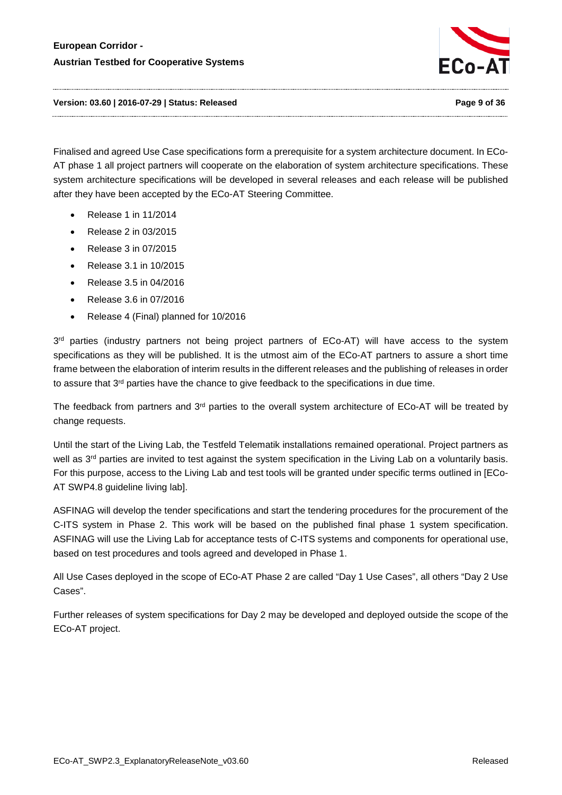

**Version: 03.60 | 2016-07-29 | Status: Released Page 9 of 36**

Finalised and agreed Use Case specifications form a prerequisite for a system architecture document. In ECo-AT phase 1 all project partners will cooperate on the elaboration of system architecture specifications. These system architecture specifications will be developed in several releases and each release will be published after they have been accepted by the ECo-AT Steering Committee.

- Release 1 in 11/2014
- Release 2 in 03/2015
- Release 3 in 07/2015
- Release 3.1 in 10/2015
- Release 3.5 in 04/2016
- Release 3.6 in 07/2016
- Release 4 (Final) planned for 10/2016

3<sup>rd</sup> parties (industry partners not being project partners of ECo-AT) will have access to the system specifications as they will be published. It is the utmost aim of the ECo-AT partners to assure a short time frame between the elaboration of interim results in the different releases and the publishing of releases in order to assure that 3<sup>rd</sup> parties have the chance to give feedback to the specifications in due time.

The feedback from partners and 3<sup>rd</sup> parties to the overall system architecture of ECo-AT will be treated by change requests.

Until the start of the Living Lab, the Testfeld Telematik installations remained operational. Project partners as well as 3<sup>rd</sup> parties are invited to test against the system specification in the Living Lab on a voluntarily basis. For this purpose, access to the Living Lab and test tools will be granted under specific terms outlined in [ECo-AT SWP4.8 guideline living lab].

ASFINAG will develop the tender specifications and start the tendering procedures for the procurement of the C-ITS system in Phase 2. This work will be based on the published final phase 1 system specification. ASFINAG will use the Living Lab for acceptance tests of C-ITS systems and components for operational use, based on test procedures and tools agreed and developed in Phase 1.

All Use Cases deployed in the scope of ECo-AT Phase 2 are called "Day 1 Use Cases", all others "Day 2 Use Cases".

Further releases of system specifications for Day 2 may be developed and deployed outside the scope of the ECo-AT project.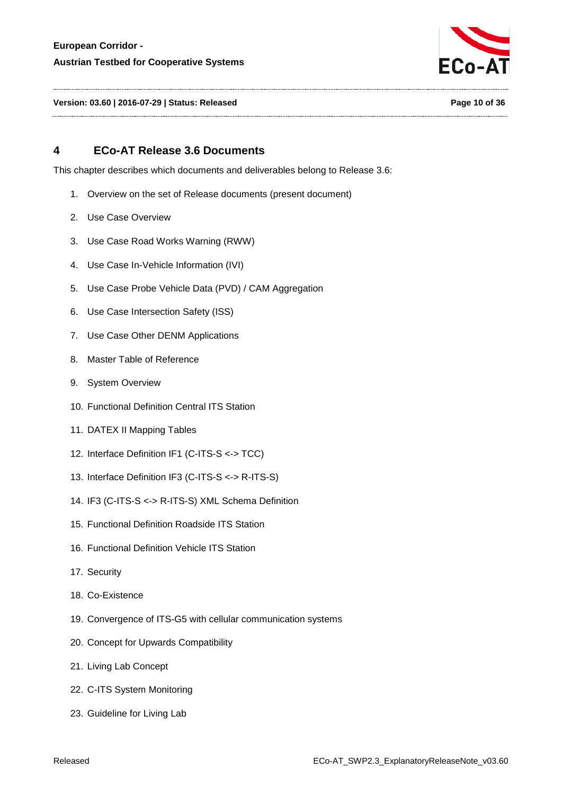

**Version: 03.60 | 2016-07-29 | Status: Released Page 10 of 36**

# <span id="page-9-0"></span>**4 ECo-AT Release 3.6 Documents**

This chapter describes which documents and deliverables belong to Release 3.6:

- 1. Overview on the set of Release documents (present document)
- 2. Use Case Overview
- 3. Use Case Road Works Warning (RWW)
- 4. Use Case In-Vehicle Information (IVI)
- 5. Use Case Probe Vehicle Data (PVD) / CAM Aggregation
- 6. Use Case Intersection Safety (ISS)
- 7. Use Case Other DENM Applications
- 8. Master Table of Reference
- 9. System Overview
- 10. Functional Definition Central ITS Station
- 11. DATEX II Mapping Tables
- 12. Interface Definition IF1 (C-ITS-S <-> TCC)
- 13. Interface Definition IF3 (C-ITS-S <-> R-ITS-S)
- 14. IF3 (C-ITS-S <-> R-ITS-S) XML Schema Definition
- 15. Functional Definition Roadside ITS Station
- 16. Functional Definition Vehicle ITS Station
- 17. Security
- 18. Co-Existence
- 19. Convergence of ITS-G5 with cellular communication systems
- 20. Concept for Upwards Compatibility
- 21. Living Lab Concept
- 22. C-ITS System Monitoring
- 23. Guideline for Living Lab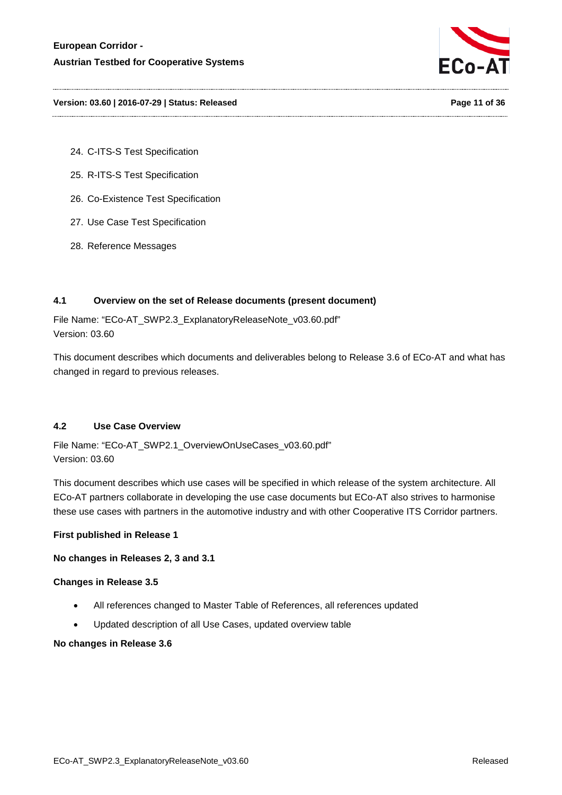

#### **Version: 03.60 | 2016-07-29 | Status: Released Page 11 of 36**

- 24. C-ITS-S Test Specification
- 25. R-ITS-S Test Specification
- 26. Co-Existence Test Specification
- 27. Use Case Test Specification
- 28. Reference Messages

### <span id="page-10-0"></span>**4.1 Overview on the set of Release documents (present document)**

File Name: "ECo-AT\_SWP2.3\_ExplanatoryReleaseNote\_v03.60.pdf" Version: 03.60

This document describes which documents and deliverables belong to Release 3.6 of ECo-AT and what has changed in regard to previous releases.

#### <span id="page-10-1"></span>**4.2 Use Case Overview**

File Name: "ECo-AT\_SWP2.1\_OverviewOnUseCases\_v03.60.pdf" Version: 03.60

This document describes which use cases will be specified in which release of the system architecture. All ECo-AT partners collaborate in developing the use case documents but ECo-AT also strives to harmonise these use cases with partners in the automotive industry and with other Cooperative ITS Corridor partners.

#### **First published in Release 1**

#### **No changes in Releases 2, 3 and 3.1**

#### **Changes in Release 3.5**

- All references changed to Master Table of References, all references updated
- Updated description of all Use Cases, updated overview table

#### **No changes in Release 3.6**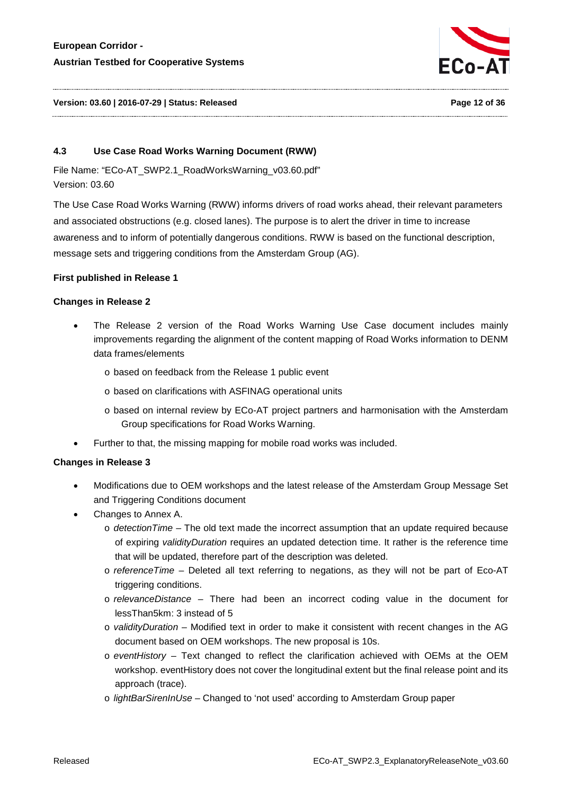

#### **Version: 03.60 | 2016-07-29 | Status: Released Page 12 of 36**

#### <span id="page-11-0"></span>**4.3 Use Case Road Works Warning Document (RWW)**

File Name: "ECo-AT\_SWP2.1\_RoadWorksWarning\_v03.60.pdf" Version: 03.60

The Use Case Road Works Warning (RWW) informs drivers of road works ahead, their relevant parameters and associated obstructions (e.g. closed lanes). The purpose is to alert the driver in time to increase awareness and to inform of potentially dangerous conditions. RWW is based on the functional description, message sets and triggering conditions from the Amsterdam Group (AG).

#### **First published in Release 1**

### **Changes in Release 2**

- The Release 2 version of the Road Works Warning Use Case document includes mainly improvements regarding the alignment of the content mapping of Road Works information to DENM data frames/elements
	- o based on feedback from the Release 1 public event
	- o based on clarifications with ASFINAG operational units
	- o based on internal review by ECo-AT project partners and harmonisation with the Amsterdam Group specifications for Road Works Warning.
- Further to that, the missing mapping for mobile road works was included.

- Modifications due to OEM workshops and the latest release of the Amsterdam Group Message Set and Triggering Conditions document
- Changes to Annex A.
	- o *detectionTime* The old text made the incorrect assumption that an update required because of expiring *validityDuration* requires an updated detection time. It rather is the reference time that will be updated, therefore part of the description was deleted.
	- o *referenceTime* Deleted all text referring to negations, as they will not be part of Eco-AT triggering conditions.
	- o *relevanceDistance –* There had been an incorrect coding value in the document for lessThan5km: 3 instead of 5
	- o *validityDuration* Modified text in order to make it consistent with recent changes in the AG document based on OEM workshops. The new proposal is 10s.
	- o *eventHistory* Text changed to reflect the clarification achieved with OEMs at the OEM workshop. eventHistory does not cover the longitudinal extent but the final release point and its approach (trace).
	- o *lightBarSirenInUse* Changed to 'not used' according to Amsterdam Group paper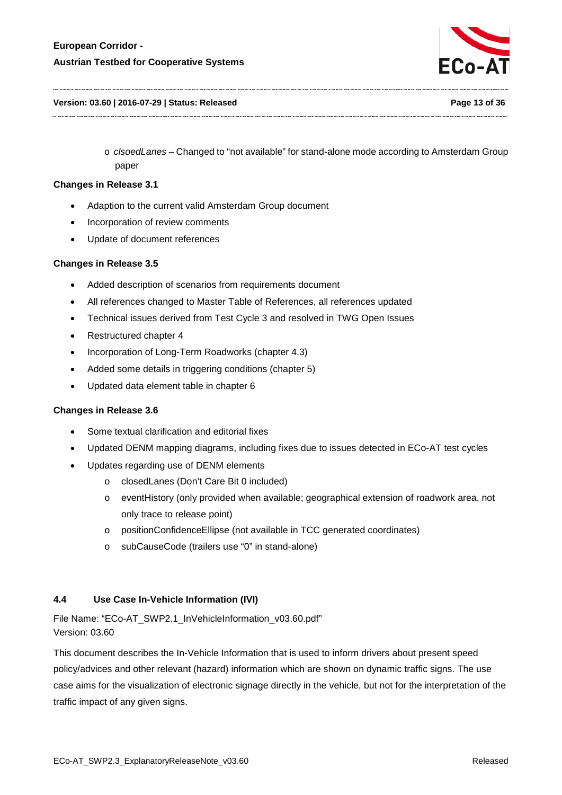

#### **Version: 03.60 | 2016-07-29 | Status: Released Page 13 of 36**

o *clsoedLanes* – Changed to "not available" for stand-alone mode according to Amsterdam Group paper

#### **Changes in Release 3.1**

- Adaption to the current valid Amsterdam Group document
- Incorporation of review comments
- Update of document references

# **Changes in Release 3.5**

- Added description of scenarios from requirements document
- All references changed to Master Table of References, all references updated
- Technical issues derived from Test Cycle 3 and resolved in TWG Open Issues
- Restructured chapter 4
- Incorporation of Long-Term Roadworks (chapter 4.3)
- Added some details in triggering conditions (chapter 5)
- Updated data element table in chapter 6

# **Changes in Release 3.6**

- Some textual clarification and editorial fixes
- Updated DENM mapping diagrams, including fixes due to issues detected in ECo-AT test cycles
- Updates regarding use of DENM elements
	- o closedLanes (Don't Care Bit 0 included)
	- o eventHistory (only provided when available; geographical extension of roadwork area, not only trace to release point)
	- o positionConfidenceEllipse (not available in TCC generated coordinates)
	- o subCauseCode (trailers use "0" in stand-alone)

# <span id="page-12-0"></span>**4.4 Use Case In-Vehicle Information (IVI)**

File Name: "ECo-AT\_SWP2.1\_InVehicleInformation\_v03.60.pdf" Version: 03.60

This document describes the In-Vehicle Information that is used to inform drivers about present speed policy/advices and other relevant (hazard) information which are shown on dynamic traffic signs. The use case aims for the visualization of electronic signage directly in the vehicle, but not for the interpretation of the traffic impact of any given signs.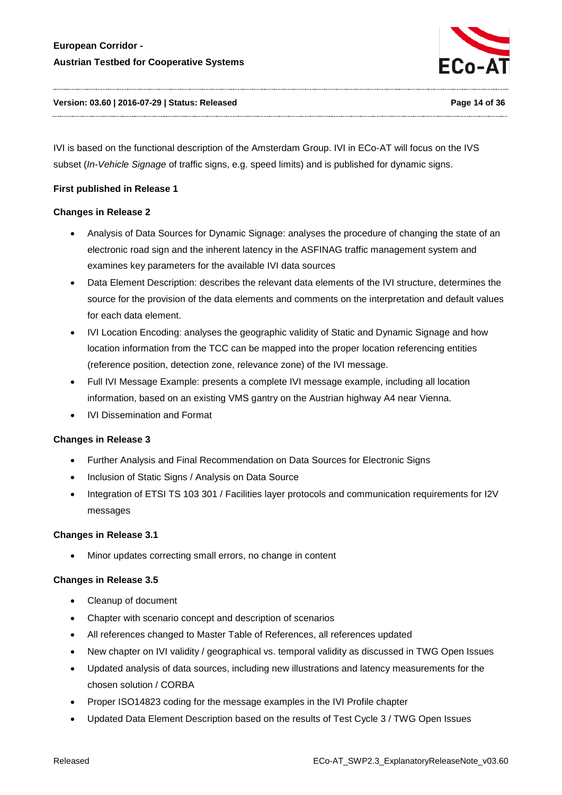

#### **Version: 03.60 | 2016-07-29 | Status: Released Page 14 of 36**

IVI is based on the functional description of the Amsterdam Group. IVI in ECo-AT will focus on the IVS subset (*In-Vehicle Signage* of traffic signs, e.g. speed limits) and is published for dynamic signs.

#### **First published in Release 1**

### **Changes in Release 2**

- Analysis of Data Sources for Dynamic Signage: analyses the procedure of changing the state of an electronic road sign and the inherent latency in the ASFINAG traffic management system and examines key parameters for the available IVI data sources
- Data Element Description: describes the relevant data elements of the IVI structure, determines the source for the provision of the data elements and comments on the interpretation and default values for each data element.
- IVI Location Encoding: analyses the geographic validity of Static and Dynamic Signage and how location information from the TCC can be mapped into the proper location referencing entities (reference position, detection zone, relevance zone) of the IVI message.
- Full IVI Message Example: presents a complete IVI message example, including all location information, based on an existing VMS gantry on the Austrian highway A4 near Vienna.
- IVI Dissemination and Format

#### **Changes in Release 3**

- Further Analysis and Final Recommendation on Data Sources for Electronic Signs
- Inclusion of Static Signs / Analysis on Data Source
- Integration of ETSI TS 103 301 / Facilities layer protocols and communication requirements for I2V messages

#### **Changes in Release 3.1**

• Minor updates correcting small errors, no change in content

- Cleanup of document
- Chapter with scenario concept and description of scenarios
- All references changed to Master Table of References, all references updated
- New chapter on IVI validity / geographical vs. temporal validity as discussed in TWG Open Issues
- Updated analysis of data sources, including new illustrations and latency measurements for the chosen solution / CORBA
- Proper ISO14823 coding for the message examples in the IVI Profile chapter
- Updated Data Element Description based on the results of Test Cycle 3 / TWG Open Issues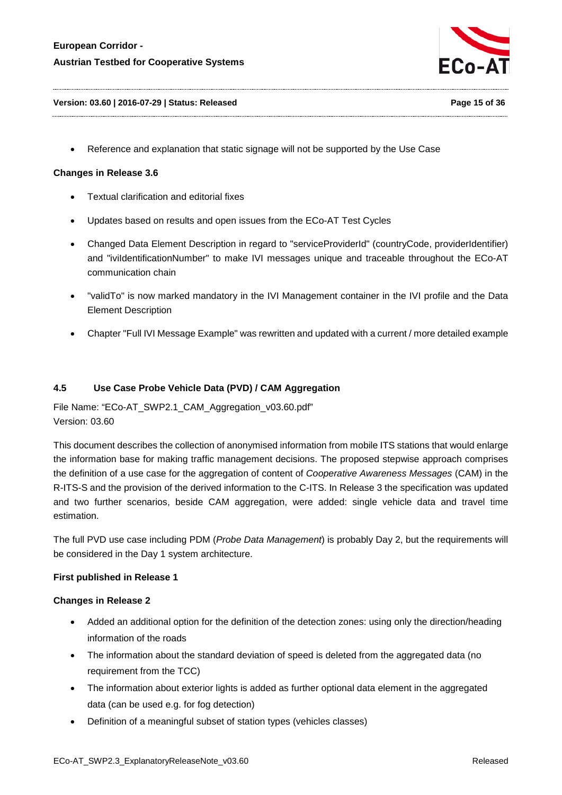

#### **Version: 03.60 | 2016-07-29 | Status: Released Page 15 of 36**

• Reference and explanation that static signage will not be supported by the Use Case

#### **Changes in Release 3.6**

- Textual clarification and editorial fixes
- Updates based on results and open issues from the ECo-AT Test Cycles
- Changed Data Element Description in regard to "serviceProviderId" (countryCode, providerIdentifier) and "iviIdentificationNumber" to make IVI messages unique and traceable throughout the ECo-AT communication chain
- "validTo" is now marked mandatory in the IVI Management container in the IVI profile and the Data Element Description
- Chapter "Full IVI Message Example" was rewritten and updated with a current / more detailed example

#### <span id="page-14-0"></span>**4.5 Use Case Probe Vehicle Data (PVD) / CAM Aggregation**

File Name: "ECo-AT\_SWP2.1\_CAM\_Aggregation\_v03.60.pdf" Version: 03.60

This document describes the collection of anonymised information from mobile ITS stations that would enlarge the information base for making traffic management decisions. The proposed stepwise approach comprises the definition of a use case for the aggregation of content of *Cooperative Awareness Messages* (CAM) in the R-ITS-S and the provision of the derived information to the C-ITS. In Release 3 the specification was updated and two further scenarios, beside CAM aggregation, were added: single vehicle data and travel time estimation.

The full PVD use case including PDM (*Probe Data Management*) is probably Day 2, but the requirements will be considered in the Day 1 system architecture.

#### **First published in Release 1**

- Added an additional option for the definition of the detection zones: using only the direction/heading information of the roads
- The information about the standard deviation of speed is deleted from the aggregated data (no requirement from the TCC)
- The information about exterior lights is added as further optional data element in the aggregated data (can be used e.g. for fog detection)
- Definition of a meaningful subset of station types (vehicles classes)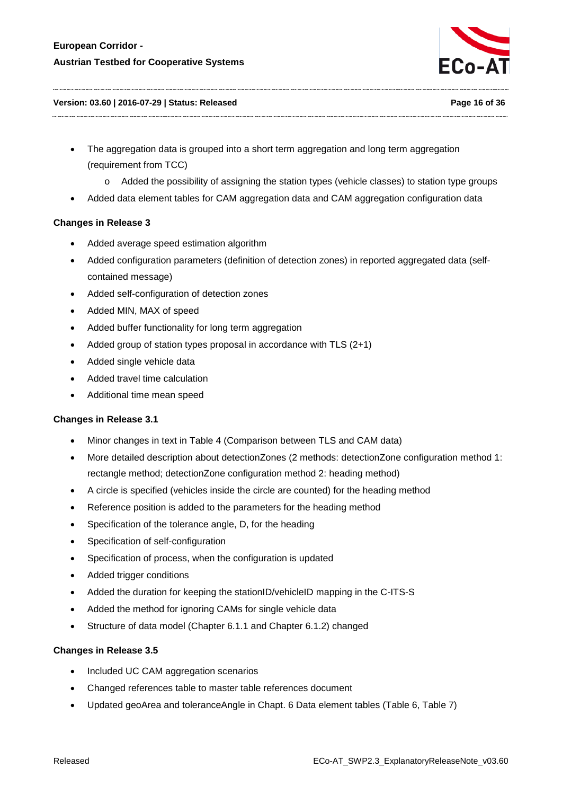

#### **Version: 03.60 | 2016-07-29 | Status: Released Page 16 of 36**

- The aggregation data is grouped into a short term aggregation and long term aggregation (requirement from TCC)
	- o Added the possibility of assigning the station types (vehicle classes) to station type groups
- Added data element tables for CAM aggregation data and CAM aggregation configuration data

# **Changes in Release 3**

- Added average speed estimation algorithm
- Added configuration parameters (definition of detection zones) in reported aggregated data (selfcontained message)
- Added self-configuration of detection zones
- Added MIN, MAX of speed
- Added buffer functionality for long term aggregation
- Added group of station types proposal in accordance with TLS (2+1)
- Added single vehicle data
- Added travel time calculation
- Additional time mean speed

# **Changes in Release 3.1**

- Minor changes in text in Table 4 (Comparison between TLS and CAM data)
- More detailed description about detectionZones (2 methods: detectionZone configuration method 1: rectangle method; detectionZone configuration method 2: heading method)
- A circle is specified (vehicles inside the circle are counted) for the heading method
- Reference position is added to the parameters for the heading method
- Specification of the tolerance angle, D, for the heading
- Specification of self-configuration
- Specification of process, when the configuration is updated
- Added trigger conditions
- Added the duration for keeping the stationID/vehicleID mapping in the C-ITS-S
- Added the method for ignoring CAMs for single vehicle data
- Structure of data model (Chapter 6.1.1 and Chapter 6.1.2) changed

- Included UC CAM aggregation scenarios
- Changed references table to master table references document
- Updated geoArea and toleranceAngle in Chapt. 6 Data element tables (Table 6, Table 7)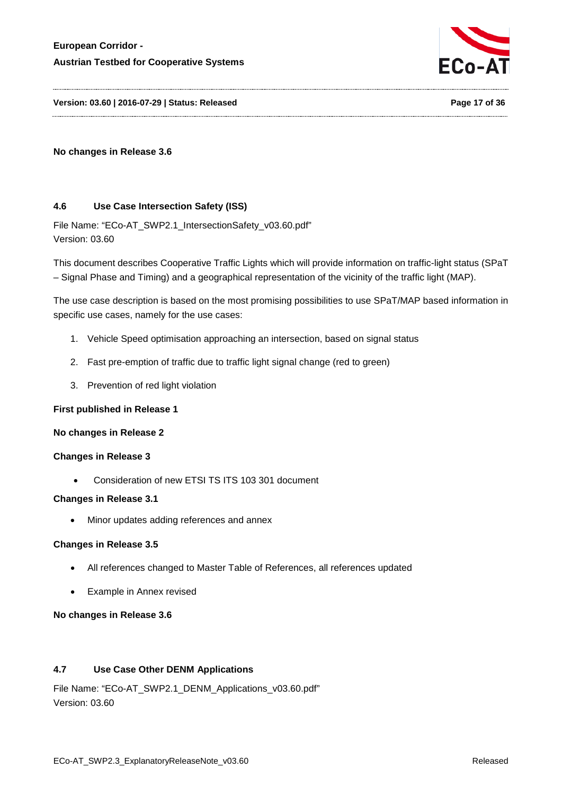

**Version: 03.60 | 2016-07-29 | Status: Released Page 17 of 36**

### **No changes in Release 3.6**

### <span id="page-16-0"></span>**4.6 Use Case Intersection Safety (ISS)**

File Name: "ECo-AT\_SWP2.1\_IntersectionSafety\_v03.60.pdf" Version: 03.60

This document describes Cooperative Traffic Lights which will provide information on traffic-light status (SPaT – Signal Phase and Timing) and a geographical representation of the vicinity of the traffic light (MAP).

The use case description is based on the most promising possibilities to use SPaT/MAP based information in specific use cases, namely for the use cases:

- 1. Vehicle Speed optimisation approaching an intersection, based on signal status
- 2. Fast pre-emption of traffic due to traffic light signal change (red to green)
- 3. Prevention of red light violation

#### **First published in Release 1**

#### **No changes in Release 2**

#### **Changes in Release 3**

• Consideration of new ETSI TS ITS 103 301 document

#### **Changes in Release 3.1**

• Minor updates adding references and annex

#### **Changes in Release 3.5**

- All references changed to Master Table of References, all references updated
- Example in Annex revised

#### **No changes in Release 3.6**

# <span id="page-16-1"></span>**4.7 Use Case Other DENM Applications**

File Name: "ECo-AT\_SWP2.1\_DENM\_Applications\_v03.60.pdf" Version: 03.60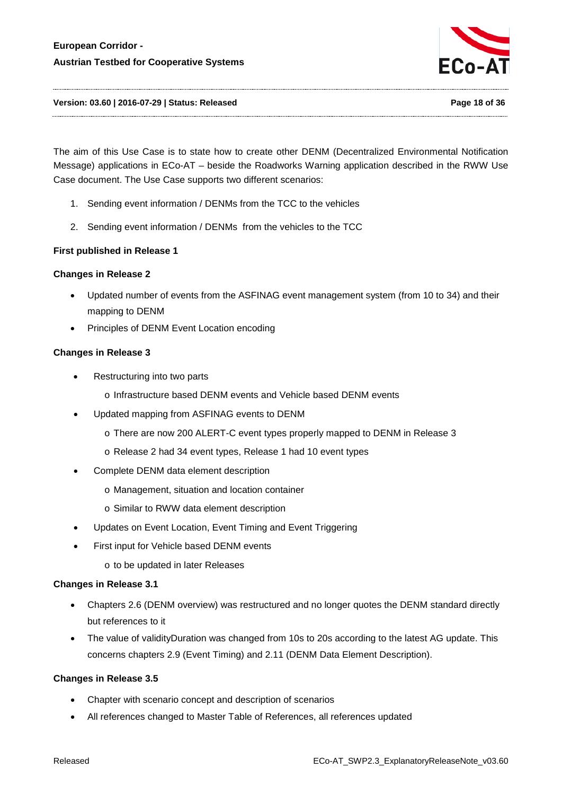

#### **Version: 03.60 | 2016-07-29 | Status: Released Page 18 of 36**

The aim of this Use Case is to state how to create other DENM (Decentralized Environmental Notification Message) applications in ECo-AT – beside the Roadworks Warning application described in the RWW Use Case document. The Use Case supports two different scenarios:

- 1. Sending event information / DENMs from the TCC to the vehicles
- 2. Sending event information / DENMs from the vehicles to the TCC

### **First published in Release 1**

#### **Changes in Release 2**

- Updated number of events from the ASFINAG event management system (from 10 to 34) and their mapping to DENM
- Principles of DENM Event Location encoding

#### **Changes in Release 3**

- Restructuring into two parts
	- o Infrastructure based DENM events and Vehicle based DENM events
- Updated mapping from ASFINAG events to DENM
	- o There are now 200 ALERT-C event types properly mapped to DENM in Release 3
	- o Release 2 had 34 event types, Release 1 had 10 event types
- Complete DENM data element description
	- o Management, situation and location container
	- o Similar to RWW data element description
- Updates on Event Location, Event Timing and Event Triggering
- First input for Vehicle based DENM events
	- o to be updated in later Releases

#### **Changes in Release 3.1**

- Chapters 2.6 (DENM overview) was restructured and no longer quotes the DENM standard directly but references to it
- The value of validityDuration was changed from 10s to 20s according to the latest AG update. This concerns chapters 2.9 (Event Timing) and 2.11 (DENM Data Element Description).

- Chapter with scenario concept and description of scenarios
- All references changed to Master Table of References, all references updated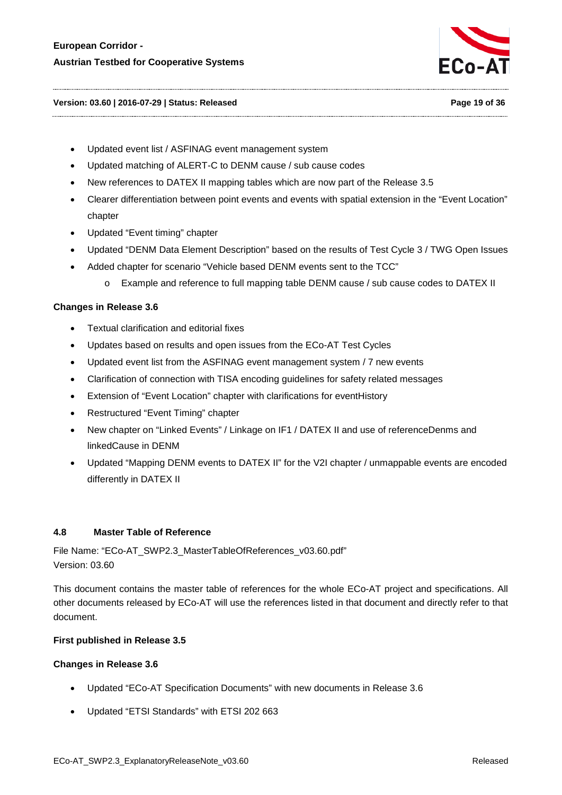

#### **Version: 03.60 | 2016-07-29 | Status: Released Page 19 of 36**

- Updated event list / ASFINAG event management system
- Updated matching of ALERT-C to DENM cause / sub cause codes
- New references to DATEX II mapping tables which are now part of the Release 3.5
- Clearer differentiation between point events and events with spatial extension in the "Event Location" chapter
- Updated "Event timing" chapter
- Updated "DENM Data Element Description" based on the results of Test Cycle 3 / TWG Open Issues
- Added chapter for scenario "Vehicle based DENM events sent to the TCC"
	- o Example and reference to full mapping table DENM cause / sub cause codes to DATEX II

#### **Changes in Release 3.6**

- Textual clarification and editorial fixes
- Updates based on results and open issues from the ECo-AT Test Cycles
- Updated event list from the ASFINAG event management system / 7 new events
- Clarification of connection with TISA encoding guidelines for safety related messages
- Extension of "Event Location" chapter with clarifications for eventHistory
- Restructured "Event Timing" chapter
- New chapter on "Linked Events" / Linkage on IF1 / DATEX II and use of referenceDenms and linkedCause in DENM
- Updated "Mapping DENM events to DATEX II" for the V2I chapter / unmappable events are encoded differently in DATEX II

#### <span id="page-18-0"></span>**4.8 Master Table of Reference**

File Name: "ECo-AT\_SWP2.3\_MasterTableOfReferences\_v03.60.pdf" Version: 03.60

This document contains the master table of references for the whole ECo-AT project and specifications. All other documents released by ECo-AT will use the references listed in that document and directly refer to that document.

#### **First published in Release 3.5**

- Updated "ECo-AT Specification Documents" with new documents in Release 3.6
- Updated "ETSI Standards" with ETSI 202 663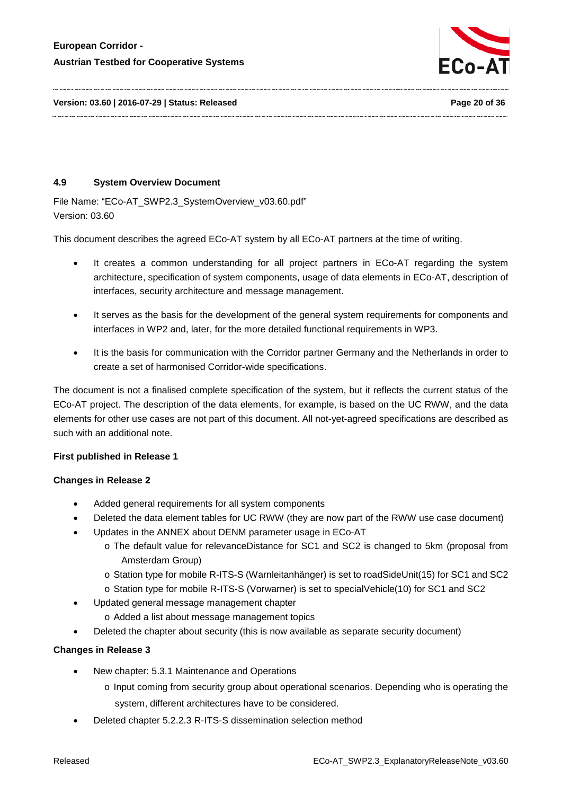

# <span id="page-19-0"></span>**4.9 System Overview Document**

File Name: "ECo-AT\_SWP2.3\_SystemOverview\_v03.60.pdf" Version: 03.60

This document describes the agreed ECo-AT system by all ECo-AT partners at the time of writing.

- It creates a common understanding for all project partners in ECo-AT regarding the system architecture, specification of system components, usage of data elements in ECo-AT, description of interfaces, security architecture and message management.
- It serves as the basis for the development of the general system requirements for components and interfaces in WP2 and, later, for the more detailed functional requirements in WP3.
- It is the basis for communication with the Corridor partner Germany and the Netherlands in order to create a set of harmonised Corridor-wide specifications.

The document is not a finalised complete specification of the system, but it reflects the current status of the ECo-AT project. The description of the data elements, for example, is based on the UC RWW, and the data elements for other use cases are not part of this document. All not-yet-agreed specifications are described as such with an additional note.

# **First published in Release 1**

#### **Changes in Release 2**

- Added general requirements for all system components
- Deleted the data element tables for UC RWW (they are now part of the RWW use case document)
- Updates in the ANNEX about DENM parameter usage in ECo-AT
	- o The default value for relevanceDistance for SC1 and SC2 is changed to 5km (proposal from Amsterdam Group)
	- o Station type for mobile R-ITS-S (Warnleitanhänger) is set to roadSideUnit(15) for SC1 and SC2
	- o Station type for mobile R-ITS-S (Vorwarner) is set to specialVehicle(10) for SC1 and SC2
- Updated general message management chapter
	- o Added a list about message management topics
- Deleted the chapter about security (this is now available as separate security document)

- New chapter: 5.3.1 Maintenance and Operations
	- o Input coming from security group about operational scenarios. Depending who is operating the system, different architectures have to be considered.
- Deleted chapter 5.2.2.3 R-ITS-S dissemination selection method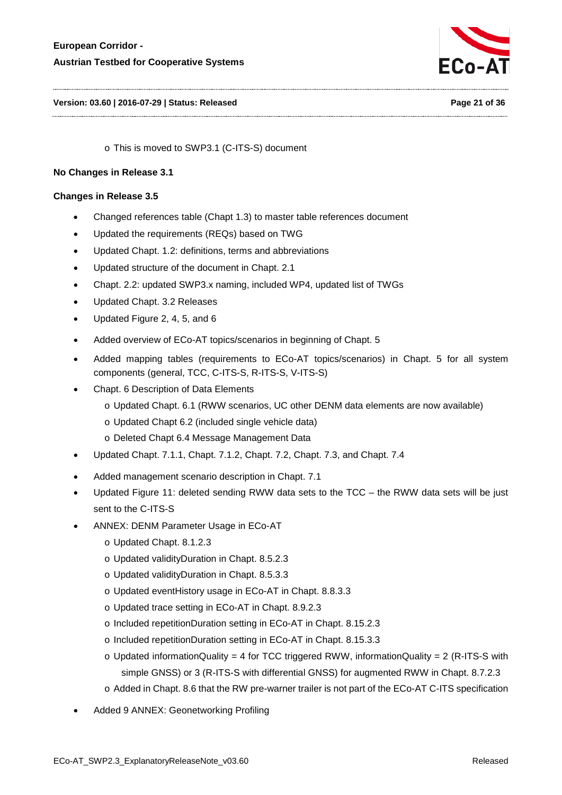

#### **Version: 03.60 | 2016-07-29 | Status: Released Page 21 of 36**

o This is moved to SWP3.1 (C-ITS-S) document

### **No Changes in Release 3.1**

- Changed references table (Chapt 1.3) to master table references document
- Updated the requirements (REQs) based on TWG
- Updated Chapt. 1.2: definitions, terms and abbreviations
- Updated structure of the document in Chapt. 2.1
- Chapt. 2.2: updated SWP3.x naming, included WP4, updated list of TWGs
- Updated Chapt. 3.2 Releases
- Updated Figure 2, 4, 5, and 6
- Added overview of ECo-AT topics/scenarios in beginning of Chapt. 5
- Added mapping tables (requirements to ECo-AT topics/scenarios) in Chapt. 5 for all system components (general, TCC, C-ITS-S, R-ITS-S, V-ITS-S)
- Chapt. 6 Description of Data Elements
	- o Updated Chapt. 6.1 (RWW scenarios, UC other DENM data elements are now available)
	- o Updated Chapt 6.2 (included single vehicle data)
	- o Deleted Chapt 6.4 Message Management Data
- Updated Chapt. 7.1.1, Chapt. 7.1.2, Chapt. 7.2, Chapt. 7.3, and Chapt. 7.4
- Added management scenario description in Chapt. 7.1
- Updated Figure 11: deleted sending RWW data sets to the TCC the RWW data sets will be just sent to the C-ITS-S
- ANNEX: DENM Parameter Usage in ECo-AT
	- o Updated Chapt. 8.1.2.3
	- o Updated validityDuration in Chapt. 8.5.2.3
	- o Updated validityDuration in Chapt. 8.5.3.3
	- o Updated eventHistory usage in ECo-AT in Chapt. 8.8.3.3
	- o Updated trace setting in ECo-AT in Chapt. 8.9.2.3
	- o Included repetitionDuration setting in ECo-AT in Chapt. 8.15.2.3
	- o Included repetitionDuration setting in ECo-AT in Chapt. 8.15.3.3
	- $\circ$  Updated informationQuality = 4 for TCC triggered RWW, informationQuality = 2 (R-ITS-S with simple GNSS) or 3 (R-ITS-S with differential GNSS) for augmented RWW in Chapt. 8.7.2.3
	- o Added in Chapt. 8.6 that the RW pre-warner trailer is not part of the ECo-AT C-ITS specification
- Added 9 ANNEX: Geonetworking Profiling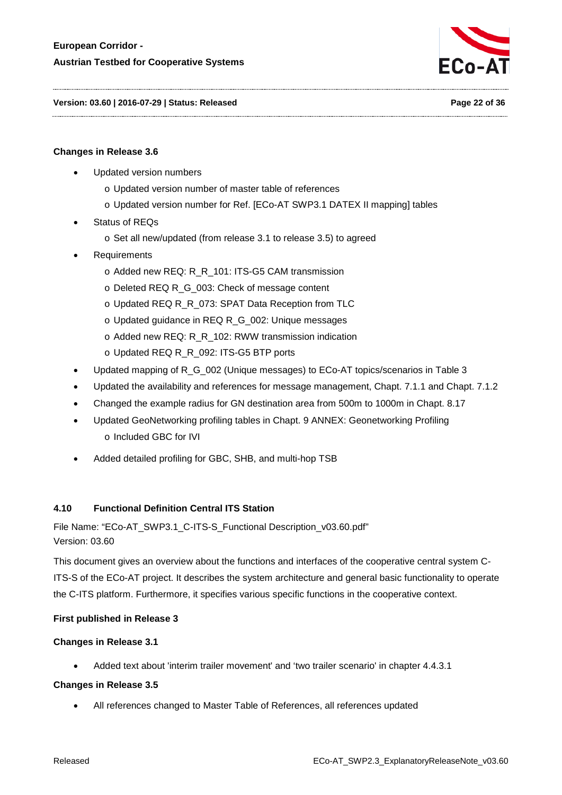

**Version: 03.60 | 2016-07-29 | Status: Released Page 22 of 36**

#### **Changes in Release 3.6**

- Updated version numbers
	- o Updated version number of master table of references
	- o Updated version number for Ref. [ECo-AT SWP3.1 DATEX II mapping] tables
- Status of REQs
	- o Set all new/updated (from release 3.1 to release 3.5) to agreed
- **Requirements** 
	- o Added new REQ: R\_R\_101: ITS-G5 CAM transmission
	- o Deleted REQ R\_G\_003: Check of message content
	- o Updated REQ R\_R\_073: SPAT Data Reception from TLC
	- o Updated guidance in REQ R\_G\_002: Unique messages
	- o Added new REQ: R\_R\_102: RWW transmission indication
	- o Updated REQ R\_R\_092: ITS-G5 BTP ports
- Updated mapping of R\_G\_002 (Unique messages) to ECo-AT topics/scenarios in Table 3
- Updated the availability and references for message management, Chapt. 7.1.1 and Chapt. 7.1.2
- Changed the example radius for GN destination area from 500m to 1000m in Chapt. 8.17
- Updated GeoNetworking profiling tables in Chapt. 9 ANNEX: Geonetworking Profiling o Included GBC for IVI
- Added detailed profiling for GBC, SHB, and multi-hop TSB

#### <span id="page-21-0"></span>**4.10 Functional Definition Central ITS Station**

File Name: "ECo-AT\_SWP3.1\_C-ITS-S\_Functional Description\_v03.60.pdf" Version: 03.60

This document gives an overview about the functions and interfaces of the cooperative central system C-ITS-S of the ECo-AT project. It describes the system architecture and general basic functionality to operate the C-ITS platform. Furthermore, it specifies various specific functions in the cooperative context.

#### **First published in Release 3**

#### **Changes in Release 3.1**

• Added text about 'interim trailer movement' and 'two trailer scenario' in chapter 4.4.3.1

#### **Changes in Release 3.5**

• All references changed to Master Table of References, all references updated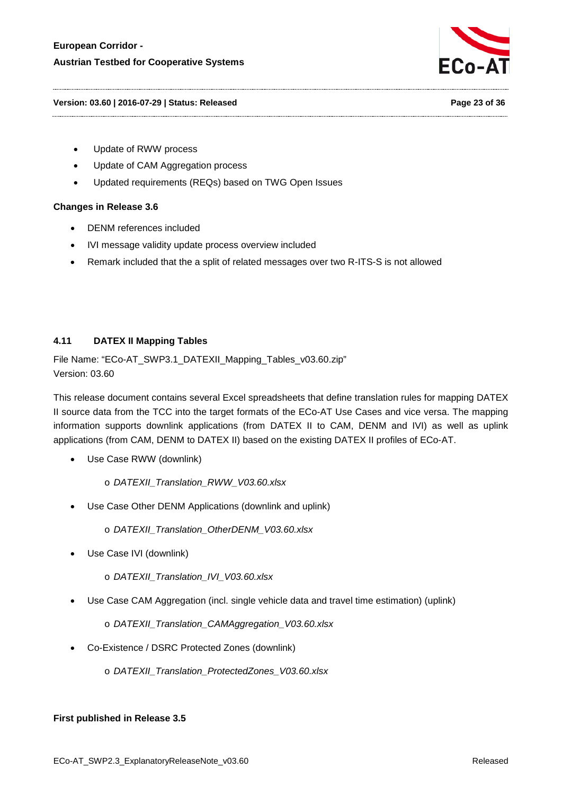

#### **Version: 03.60 | 2016-07-29 | Status: Released Page 23 of 36**

- Update of RWW process
- Update of CAM Aggregation process
- Updated requirements (REQs) based on TWG Open Issues

#### **Changes in Release 3.6**

- DENM references included
- IVI message validity update process overview included
- Remark included that the a split of related messages over two R-ITS-S is not allowed

# <span id="page-22-0"></span>**4.11 DATEX II Mapping Tables**

File Name: "ECo-AT\_SWP3.1\_DATEXII\_Mapping\_Tables\_v03.60.zip" Version: 03.60

This release document contains several Excel spreadsheets that define translation rules for mapping DATEX II source data from the TCC into the target formats of the ECo-AT Use Cases and vice versa. The mapping information supports downlink applications (from DATEX II to CAM, DENM and IVI) as well as uplink applications (from CAM, DENM to DATEX II) based on the existing DATEX II profiles of ECo-AT.

Use Case RWW (downlink)

o *DATEXII\_Translation\_RWW\_V03.60.xlsx*

• Use Case Other DENM Applications (downlink and uplink)

o *DATEXII\_Translation\_OtherDENM\_V03.60.xlsx*

- Use Case IVI (downlink)
	- o *DATEXII\_Translation\_IVI\_V03.60.xlsx*
- Use Case CAM Aggregation (incl. single vehicle data and travel time estimation) (uplink)

o *DATEXII\_Translation\_CAMAggregation\_V03.60.xlsx*

- Co-Existence / DSRC Protected Zones (downlink)
	- o *DATEXII\_Translation\_ProtectedZones\_V03.60.xlsx*

#### **First published in Release 3.5**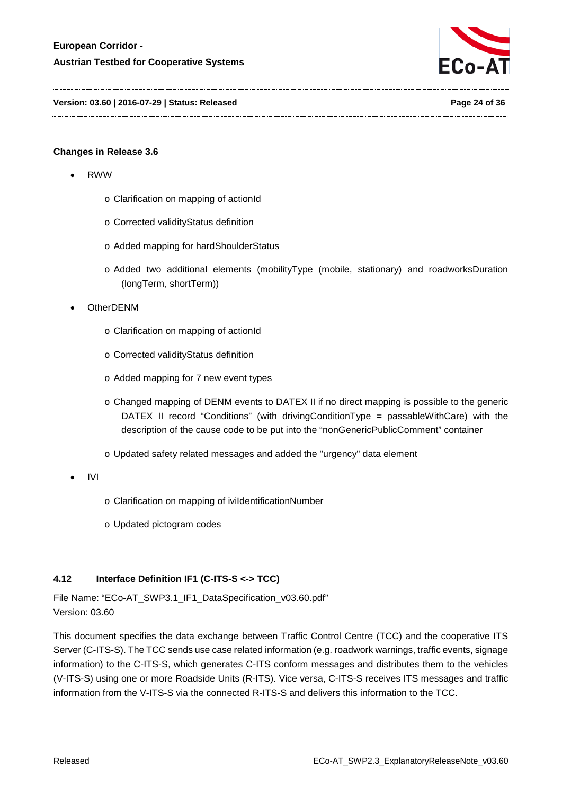

**Version: 03.60 | 2016-07-29 | Status: Released Page 24 of 36**

# **Changes in Release 3.6**

- RWW
	- o Clarification on mapping of actionId
	- o Corrected validityStatus definition
	- o Added mapping for hardShoulderStatus
	- o Added two additional elements (mobilityType (mobile, stationary) and roadworksDuration (longTerm, shortTerm))
- OtherDENM
	- o Clarification on mapping of actionId
	- o Corrected validityStatus definition
	- o Added mapping for 7 new event types
	- o Changed mapping of DENM events to DATEX II if no direct mapping is possible to the generic DATEX II record "Conditions" (with drivingConditionType = passableWithCare) with the description of the cause code to be put into the "nonGenericPublicComment" container
	- o Updated safety related messages and added the "urgency" data element
- IVI
- o Clarification on mapping of iviIdentificationNumber
- o Updated pictogram codes

# <span id="page-23-0"></span>**4.12 Interface Definition IF1 (C-ITS-S <-> TCC)**

File Name: "ECo-AT\_SWP3.1\_IF1\_DataSpecification\_v03.60.pdf" Version: 03.60

This document specifies the data exchange between Traffic Control Centre (TCC) and the cooperative ITS Server (C-ITS-S). The TCC sends use case related information (e.g. roadwork warnings, traffic events, signage information) to the C-ITS-S, which generates C-ITS conform messages and distributes them to the vehicles (V-ITS-S) using one or more Roadside Units (R-ITS). Vice versa, C-ITS-S receives ITS messages and traffic information from the V-ITS-S via the connected R-ITS-S and delivers this information to the TCC.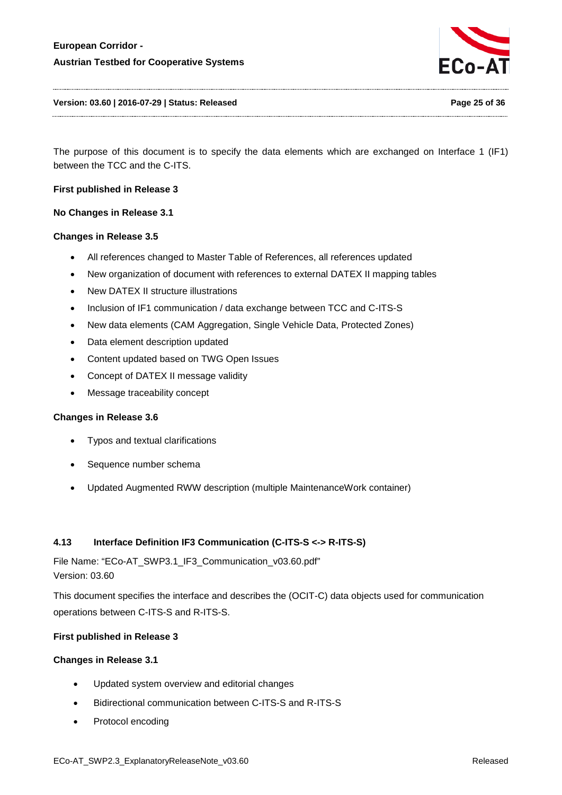

The purpose of this document is to specify the data elements which are exchanged on Interface 1 (IF1) between the TCC and the C-ITS.

#### **First published in Release 3**

**No Changes in Release 3.1**

#### **Changes in Release 3.5**

- All references changed to Master Table of References, all references updated
- New organization of document with references to external DATEX II mapping tables
- New DATEX II structure illustrations
- Inclusion of IF1 communication / data exchange between TCC and C-ITS-S
- New data elements (CAM Aggregation, Single Vehicle Data, Protected Zones)
- Data element description updated
- Content updated based on TWG Open Issues
- Concept of DATEX II message validity
- Message traceability concept

#### **Changes in Release 3.6**

- Typos and textual clarifications
- Sequence number schema
- Updated Augmented RWW description (multiple MaintenanceWork container)

#### <span id="page-24-0"></span>**4.13 Interface Definition IF3 Communication (C-ITS-S <-> R-ITS-S)**

File Name: "ECo-AT\_SWP3.1\_IF3\_Communication\_v03.60.pdf" Version: 03.60

This document specifies the interface and describes the (OCIT-C) data objects used for communication operations between C-ITS-S and R-ITS-S.

#### **First published in Release 3**

- Updated system overview and editorial changes
- Bidirectional communication between C-ITS-S and R-ITS-S
- Protocol encoding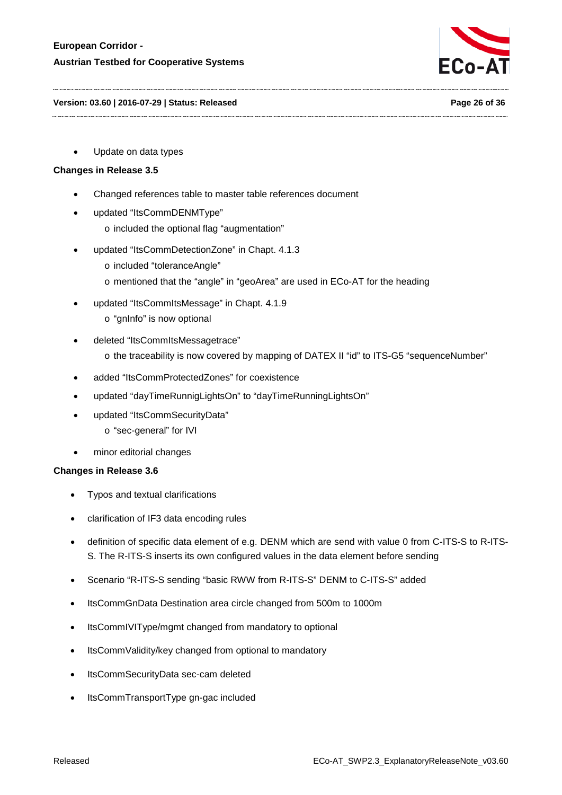

#### **Version: 03.60 | 2016-07-29 | Status: Released Page 26 of 36**

• Update on data types

# **Changes in Release 3.5**

- Changed references table to master table references document
- updated "ItsCommDENMType"
	- o included the optional flag "augmentation"
- updated "ItsCommDetectionZone" in Chapt. 4.1.3
	- o included "toleranceAngle"
	- o mentioned that the "angle" in "geoArea" are used in ECo-AT for the heading
- updated "ItsCommItsMessage" in Chapt. 4.1.9
	- o "gnInfo" is now optional
- deleted "ItsCommItsMessagetrace"
	- o the traceability is now covered by mapping of DATEX II "id" to ITS-G5 "sequenceNumber"
- added "ItsCommProtectedZones" for coexistence
- updated "dayTimeRunnigLightsOn" to "dayTimeRunningLightsOn"
- updated "ItsCommSecurityData"
	- o "sec-general" for IVI
- minor editorial changes

- Typos and textual clarifications
- clarification of IF3 data encoding rules
- definition of specific data element of e.g. DENM which are send with value 0 from C-ITS-S to R-ITS-S. The R-ITS-S inserts its own configured values in the data element before sending
- Scenario "R-ITS-S sending "basic RWW from R-ITS-S" DENM to C-ITS-S" added
- ItsCommGnData Destination area circle changed from 500m to 1000m
- ItsCommIVIType/mgmt changed from mandatory to optional
- ItsCommValidity/key changed from optional to mandatory
- ItsCommSecurityData sec-cam deleted
- ItsCommTransportType gn-gac included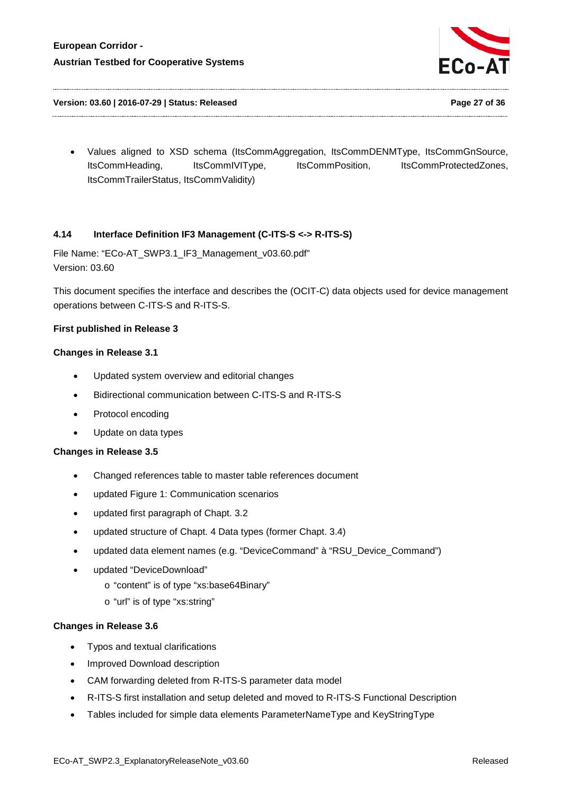

**Version: 03.60 | 2016-07-29 | Status: Released Page 27 of 36**

• Values aligned to XSD schema (ItsCommAggregation, ItsCommDENMType, ItsCommGnSource, ItsCommHeading, ItsCommIVIType, ItsCommPosition, ItsCommProtectedZones, ItsCommTrailerStatus, ItsCommValidity)

# <span id="page-26-0"></span>**4.14 Interface Definition IF3 Management (C-ITS-S <-> R-ITS-S)**

File Name: "ECo-AT\_SWP3.1\_IF3\_Management\_v03.60.pdf" Version: 03.60

This document specifies the interface and describes the (OCIT-C) data objects used for device management operations between C-ITS-S and R-ITS-S.

### **First published in Release 3**

### **Changes in Release 3.1**

- Updated system overview and editorial changes
- Bidirectional communication between C-ITS-S and R-ITS-S
- Protocol encoding
- Update on data types

### **Changes in Release 3.5**

- Changed references table to master table references document
- updated Figure 1: Communication scenarios
- updated first paragraph of Chapt. 3.2
- updated structure of Chapt. 4 Data types (former Chapt. 3.4)
- updated data element names (e.g. "DeviceCommand" à "RSU\_Device\_Command")
- updated "DeviceDownload"
	- o "content" is of type "xs:base64Binary"
	- o "url" is of type "xs:string"

- Typos and textual clarifications
- Improved Download description
- CAM forwarding deleted from R-ITS-S parameter data model
- R-ITS-S first installation and setup deleted and moved to R-ITS-S Functional Description
- Tables included for simple data elements ParameterNameType and KeyStringType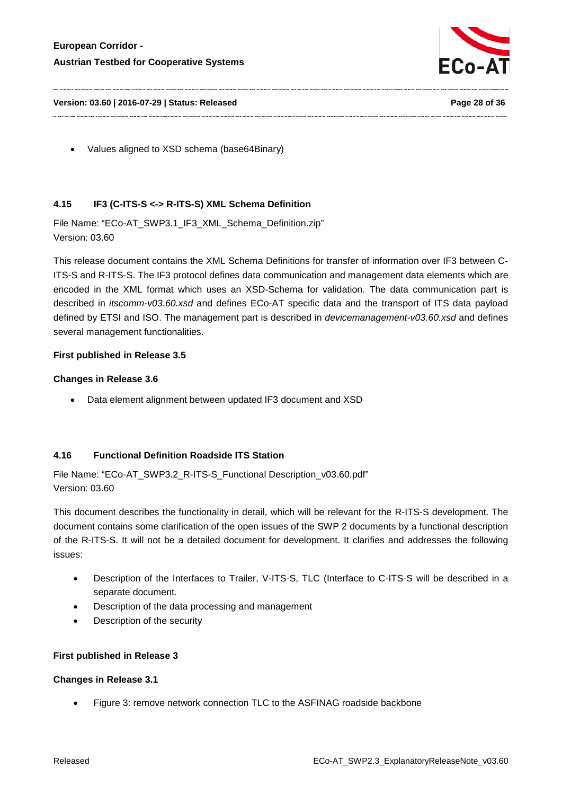

**Version: 03.60 | 2016-07-29 | Status: Released Page 28 of 36**

• Values aligned to XSD schema (base64Binary)

# <span id="page-27-0"></span>**4.15 IF3 (C-ITS-S <-> R-ITS-S) XML Schema Definition**

File Name: "ECo-AT\_SWP3.1\_IF3\_XML\_Schema\_Definition.zip" Version: 03.60

This release document contains the XML Schema Definitions for transfer of information over IF3 between C-ITS-S and R-ITS-S. The IF3 protocol defines data communication and management data elements which are encoded in the XML format which uses an XSD-Schema for validation. The data communication part is described in *itscomm-v03.60.xsd* and defines ECo-AT specific data and the transport of ITS data payload defined by ETSI and ISO. The management part is described in *devicemanagement-v03.60.xsd* and defines several management functionalities.

# **First published in Release 3.5**

### **Changes in Release 3.6**

• Data element alignment between updated IF3 document and XSD

# <span id="page-27-1"></span>**4.16 Functional Definition Roadside ITS Station**

File Name: "ECo-AT\_SWP3.2\_R-ITS-S\_Functional Description\_v03.60.pdf" Version: 03.60

This document describes the functionality in detail, which will be relevant for the R-ITS-S development. The document contains some clarification of the open issues of the SWP 2 documents by a functional description of the R-ITS-S. It will not be a detailed document for development. It clarifies and addresses the following issues:

- Description of the Interfaces to Trailer, V-ITS-S, TLC (Interface to C-ITS-S will be described in a separate document.
- Description of the data processing and management
- Description of the security

# **First published in Release 3**

# **Changes in Release 3.1**

• Figure 3: remove network connection TLC to the ASFINAG roadside backbone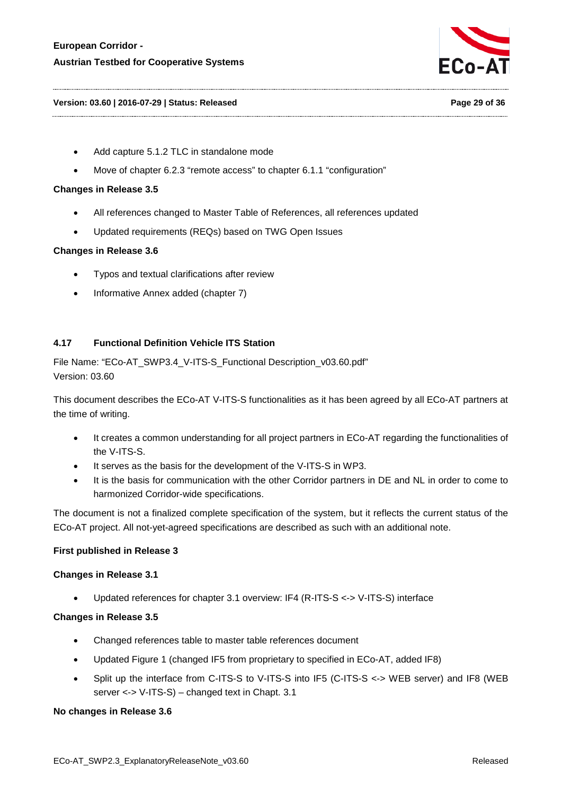

#### **Version: 03.60 | 2016-07-29 | Status: Released Page 29 of 36**

- Add capture 5.1.2 TLC in standalone mode
- Move of chapter 6.2.3 "remote access" to chapter 6.1.1 "configuration"

#### **Changes in Release 3.5**

- All references changed to Master Table of References, all references updated
- Updated requirements (REQs) based on TWG Open Issues

#### **Changes in Release 3.6**

- Typos and textual clarifications after review
- Informative Annex added (chapter 7)

### <span id="page-28-0"></span>**4.17 Functional Definition Vehicle ITS Station**

File Name: "ECo-AT\_SWP3.4\_V-ITS-S\_Functional Description\_v03.60.pdf" Version: 03.60

This document describes the ECo-AT V-ITS-S functionalities as it has been agreed by all ECo-AT partners at the time of writing.

- It creates a common understanding for all project partners in ECo-AT regarding the functionalities of the V-ITS-S.
- It serves as the basis for the development of the V-ITS-S in WP3.
- It is the basis for communication with the other Corridor partners in DE and NL in order to come to harmonized Corridor-wide specifications.

The document is not a finalized complete specification of the system, but it reflects the current status of the ECo-AT project. All not-yet-agreed specifications are described as such with an additional note.

#### **First published in Release 3**

#### **Changes in Release 3.1**

• Updated references for chapter 3.1 overview: IF4 (R-ITS-S <-> V-ITS-S) interface

#### **Changes in Release 3.5**

- Changed references table to master table references document
- Updated Figure 1 (changed IF5 from proprietary to specified in ECo-AT, added IF8)
- Split up the interface from C-ITS-S to V-ITS-S into IF5 (C-ITS-S <-> WEB server) and IF8 (WEB server <-> V-ITS-S) – changed text in Chapt. 3.1

### **No changes in Release 3.6**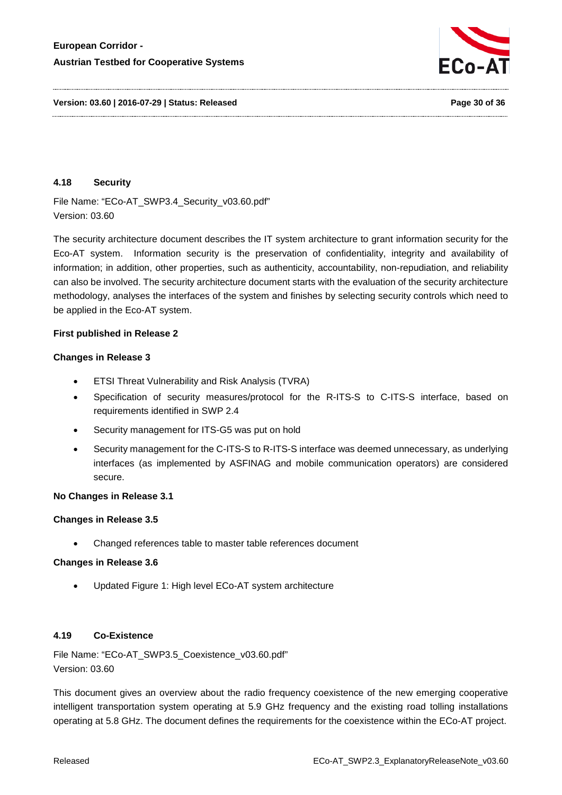

<span id="page-29-0"></span>**4.18 Security**

File Name: "ECo-AT\_SWP3.4\_Security\_v03.60.pdf" Version: 03.60

The security architecture document describes the IT system architecture to grant information security for the Eco-AT system. Information security is the preservation of confidentiality, integrity and availability of information; in addition, other properties, such as authenticity, accountability, non-repudiation, and reliability can also be involved. The security architecture document starts with the evaluation of the security architecture methodology, analyses the interfaces of the system and finishes by selecting security controls which need to be applied in the Eco-AT system.

#### **First published in Release 2**

### **Changes in Release 3**

- ETSI Threat Vulnerability and Risk Analysis (TVRA)
- Specification of security measures/protocol for the R-ITS-S to C-ITS-S interface, based on requirements identified in SWP 2.4
- Security management for ITS-G5 was put on hold
- Security management for the C-ITS-S to R-ITS-S interface was deemed unnecessary, as underlying interfaces (as implemented by ASFINAG and mobile communication operators) are considered secure.

# **No Changes in Release 3.1**

# **Changes in Release 3.5**

• Changed references table to master table references document

#### **Changes in Release 3.6**

• Updated Figure 1: High level ECo-AT system architecture

# <span id="page-29-1"></span>**4.19 Co-Existence**

File Name: "ECo-AT\_SWP3.5\_Coexistence\_v03.60.pdf" Version: 03.60

This document gives an overview about the radio frequency coexistence of the new emerging cooperative intelligent transportation system operating at 5.9 GHz frequency and the existing road tolling installations operating at 5.8 GHz. The document defines the requirements for the coexistence within the ECo-AT project.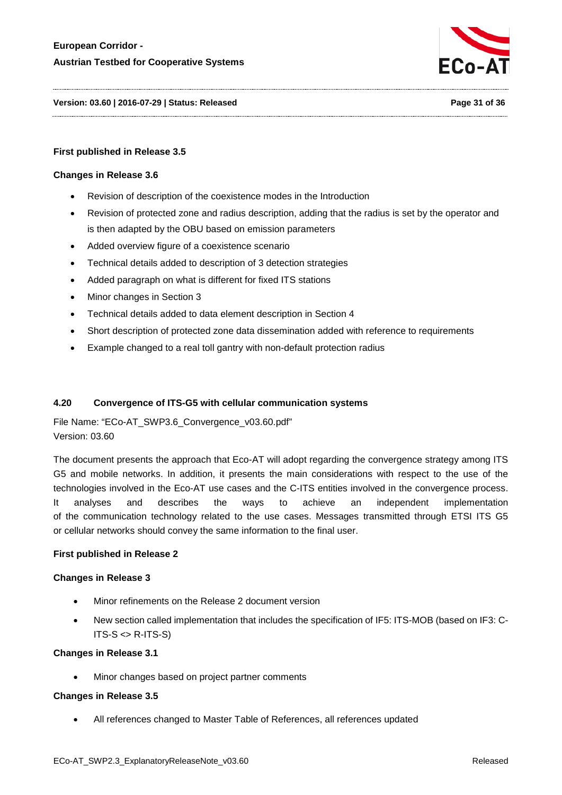

**Version: 03.60 | 2016-07-29 | Status: Released Page 31 of 36**

### **First published in Release 3.5**

#### **Changes in Release 3.6**

- Revision of description of the coexistence modes in the Introduction
- Revision of protected zone and radius description, adding that the radius is set by the operator and is then adapted by the OBU based on emission parameters
- Added overview figure of a coexistence scenario
- Technical details added to description of 3 detection strategies
- Added paragraph on what is different for fixed ITS stations
- Minor changes in Section 3
- Technical details added to data element description in Section 4
- Short description of protected zone data dissemination added with reference to requirements
- Example changed to a real toll gantry with non-default protection radius

#### <span id="page-30-0"></span>**4.20 Convergence of ITS-G5 with cellular communication systems**

File Name: "ECo-AT\_SWP3.6\_Convergence\_v03.60.pdf" Version: 03.60

The document presents the approach that Eco-AT will adopt regarding the convergence strategy among ITS G5 and mobile networks. In addition, it presents the main considerations with respect to the use of the technologies involved in the Eco-AT use cases and the C-ITS entities involved in the convergence process. It analyses and describes the ways to achieve an independent implementation of the communication technology related to the use cases. Messages transmitted through ETSI ITS G5 or cellular networks should convey the same information to the final user.

#### **First published in Release 2**

#### **Changes in Release 3**

- Minor refinements on the Release 2 document version
- New section called implementation that includes the specification of IF5: ITS-MOB (based on IF3: C- $ITS-S \leq R-ITS-S)$

#### **Changes in Release 3.1**

Minor changes based on project partner comments

### **Changes in Release 3.5**

• All references changed to Master Table of References, all references updated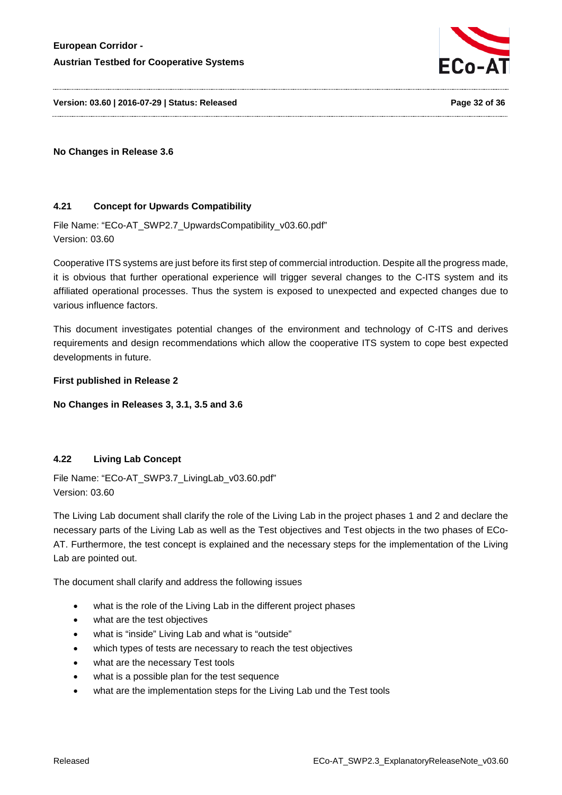

**Version: 03.60 | 2016-07-29 | Status: Released Page 32 of 36**

**No Changes in Release 3.6**

# <span id="page-31-0"></span>**4.21 Concept for Upwards Compatibility**

File Name: "ECo-AT\_SWP2.7\_UpwardsCompatibility\_v03.60.pdf" Version: 03.60

Cooperative ITS systems are just before its first step of commercial introduction. Despite all the progress made, it is obvious that further operational experience will trigger several changes to the C-ITS system and its affiliated operational processes. Thus the system is exposed to unexpected and expected changes due to various influence factors.

This document investigates potential changes of the environment and technology of C-ITS and derives requirements and design recommendations which allow the cooperative ITS system to cope best expected developments in future.

**First published in Release 2**

**No Changes in Releases 3, 3.1, 3.5 and 3.6**

# <span id="page-31-1"></span>**4.22 Living Lab Concept**

File Name: "ECo-AT\_SWP3.7\_LivingLab\_v03.60.pdf" Version: 03.60

The Living Lab document shall clarify the role of the Living Lab in the project phases 1 and 2 and declare the necessary parts of the Living Lab as well as the Test objectives and Test objects in the two phases of ECo-AT. Furthermore, the test concept is explained and the necessary steps for the implementation of the Living Lab are pointed out.

The document shall clarify and address the following issues

- what is the role of the Living Lab in the different project phases
- what are the test objectives
- what is "inside" Living Lab and what is "outside"
- which types of tests are necessary to reach the test objectives
- what are the necessary Test tools
- what is a possible plan for the test sequence
- what are the implementation steps for the Living Lab und the Test tools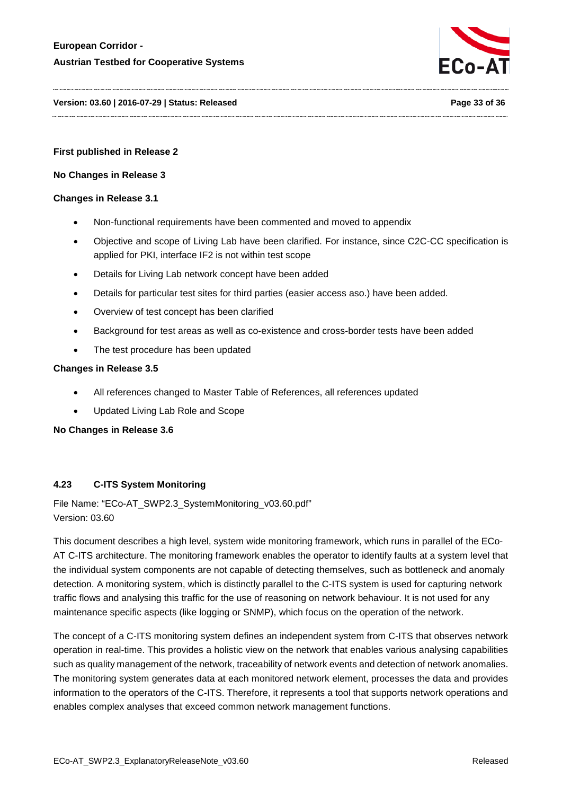

#### **Version: 03.60 | 2016-07-29 | Status: Released Page 33 of 36**

#### **First published in Release 2**

#### **No Changes in Release 3**

#### **Changes in Release 3.1**

- Non-functional requirements have been commented and moved to appendix
- Objective and scope of Living Lab have been clarified. For instance, since C2C-CC specification is applied for PKI, interface IF2 is not within test scope
- Details for Living Lab network concept have been added
- Details for particular test sites for third parties (easier access aso.) have been added.
- Overview of test concept has been clarified
- Background for test areas as well as co-existence and cross-border tests have been added
- The test procedure has been updated

#### **Changes in Release 3.5**

- All references changed to Master Table of References, all references updated
- Updated Living Lab Role and Scope

#### **No Changes in Release 3.6**

# <span id="page-32-0"></span>**4.23 C-ITS System Monitoring**

File Name: "ECo-AT\_SWP2.3\_SystemMonitoring\_v03.60.pdf" Version: 03.60

This document describes a high level, system wide monitoring framework, which runs in parallel of the ECo-AT C-ITS architecture. The monitoring framework enables the operator to identify faults at a system level that the individual system components are not capable of detecting themselves, such as bottleneck and anomaly detection. A monitoring system, which is distinctly parallel to the C-ITS system is used for capturing network traffic flows and analysing this traffic for the use of reasoning on network behaviour. It is not used for any maintenance specific aspects (like logging or SNMP), which focus on the operation of the network.

The concept of a C-ITS monitoring system defines an independent system from C-ITS that observes network operation in real-time. This provides a holistic view on the network that enables various analysing capabilities such as quality management of the network, traceability of network events and detection of network anomalies. The monitoring system generates data at each monitored network element, processes the data and provides information to the operators of the C-ITS. Therefore, it represents a tool that supports network operations and enables complex analyses that exceed common network management functions.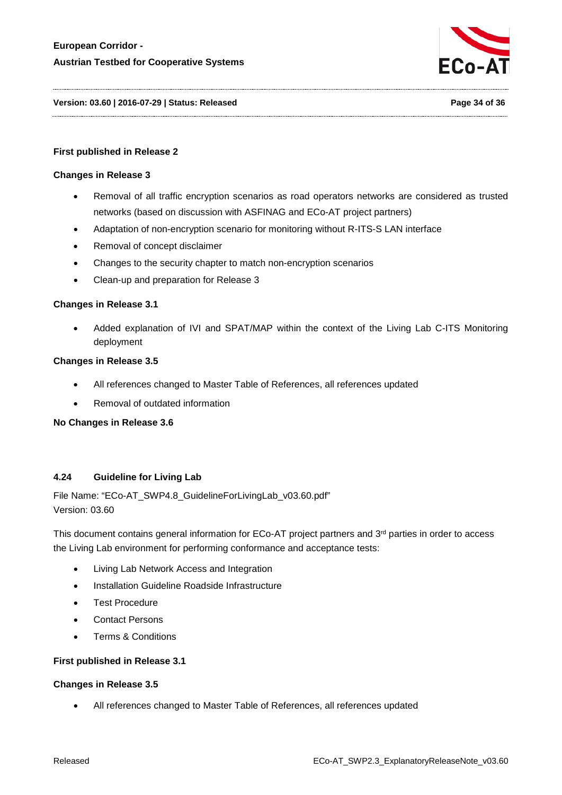

**Version: 03.60 | 2016-07-29 | Status: Released Page 34 of 36**

#### **First published in Release 2**

#### **Changes in Release 3**

- Removal of all traffic encryption scenarios as road operators networks are considered as trusted networks (based on discussion with ASFINAG and ECo-AT project partners)
- Adaptation of non-encryption scenario for monitoring without R-ITS-S LAN interface
- Removal of concept disclaimer
- Changes to the security chapter to match non-encryption scenarios
- Clean-up and preparation for Release 3

#### **Changes in Release 3.1**

• Added explanation of IVI and SPAT/MAP within the context of the Living Lab C-ITS Monitoring deployment

#### **Changes in Release 3.5**

- All references changed to Master Table of References, all references updated
- Removal of outdated information

**No Changes in Release 3.6**

#### <span id="page-33-0"></span>**4.24 Guideline for Living Lab**

File Name: "ECo-AT\_SWP4.8\_GuidelineForLivingLab\_v03.60.pdf" Version: 03.60

This document contains general information for ECo-AT project partners and 3<sup>rd</sup> parties in order to access the Living Lab environment for performing conformance and acceptance tests:

- Living Lab Network Access and Integration
- Installation Guideline Roadside Infrastructure
- Test Procedure
- **Contact Persons**
- Terms & Conditions

#### **First published in Release 3.1**

#### **Changes in Release 3.5**

• All references changed to Master Table of References, all references updated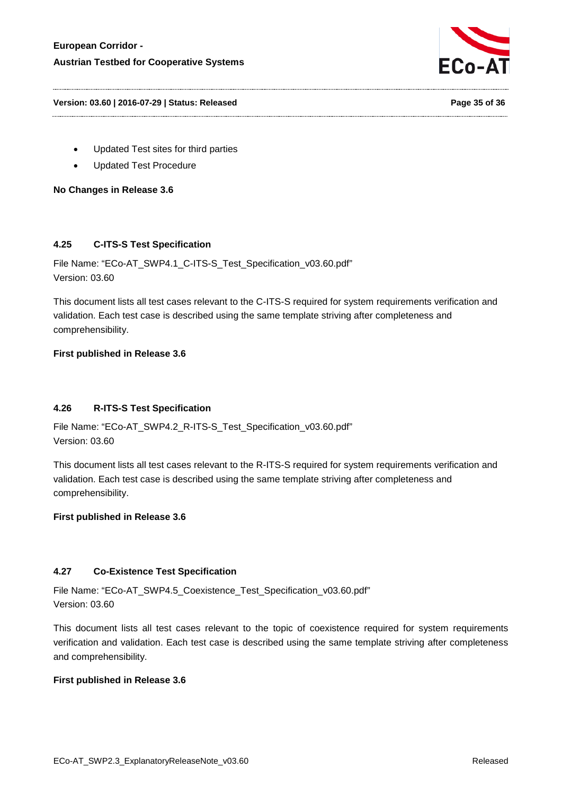

**Version: 03.60 | 2016-07-29 | Status: Released Page 35 of 36**

- Updated Test sites for third parties
- Updated Test Procedure

**No Changes in Release 3.6**

# <span id="page-34-0"></span>**4.25 C-ITS-S Test Specification**

File Name: "ECo-AT\_SWP4.1\_C-ITS-S\_Test\_Specification\_v03.60.pdf" Version: 03.60

This document lists all test cases relevant to the C-ITS-S required for system requirements verification and validation. Each test case is described using the same template striving after completeness and comprehensibility.

### **First published in Release 3.6**

# <span id="page-34-1"></span>**4.26 R-ITS-S Test Specification**

File Name: "ECo-AT\_SWP4.2\_R-ITS-S\_Test\_Specification\_v03.60.pdf" Version: 03.60

This document lists all test cases relevant to the R-ITS-S required for system requirements verification and validation. Each test case is described using the same template striving after completeness and comprehensibility.

#### **First published in Release 3.6**

#### <span id="page-34-2"></span>**4.27 Co-Existence Test Specification**

File Name: "ECo-AT\_SWP4.5\_Coexistence\_Test\_Specification\_v03.60.pdf" Version: 03.60

This document lists all test cases relevant to the topic of coexistence required for system requirements verification and validation. Each test case is described using the same template striving after completeness and comprehensibility.

#### **First published in Release 3.6**